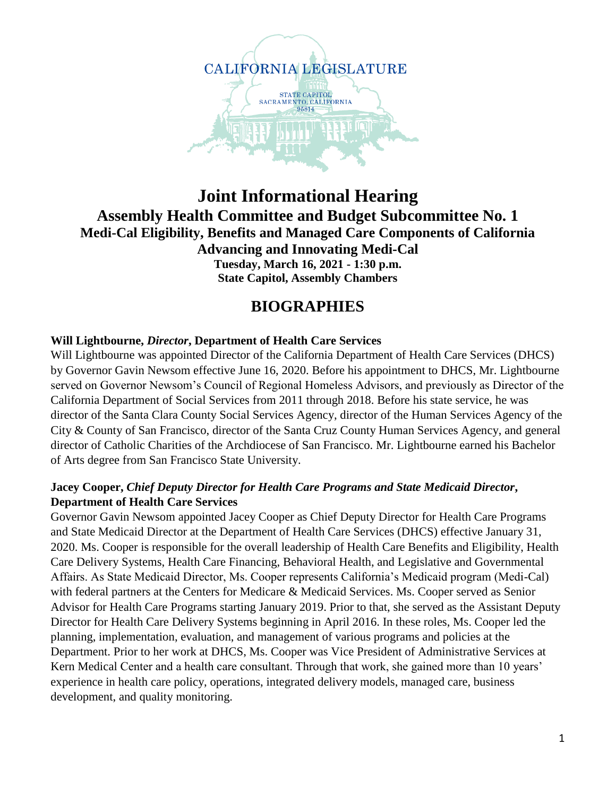

## **Joint Informational Hearing Assembly Health Committee and Budget Subcommittee No. 1 Medi-Cal Eligibility, Benefits and Managed Care Components of California Advancing and Innovating Medi-Cal Tuesday, March 16, 2021 - 1:30 p.m. State Capitol, Assembly Chambers**

# **BIOGRAPHIES**

## **Will Lightbourne,** *Director***, Department of Health Care Services**

Will Lightbourne was appointed Director of the California Department of Health Care Services (DHCS) by Governor Gavin Newsom effective June 16, 2020. Before his appointment to DHCS, Mr. Lightbourne served on Governor Newsom's Council of Regional Homeless Advisors, and previously as Director of the California Department of Social Services from 2011 through 2018. Before his state service, he was director of the Santa Clara County Social Services Agency, director of the Human Services Agency of the City & County of San Francisco, director of the Santa Cruz County Human Services Agency, and general director of Catholic Charities of the Archdiocese of San Francisco. Mr. Lightbourne earned his Bachelor of Arts degree from San Francisco State University.

## **Jacey Cooper,** *Chief Deputy Director for Health Care Programs and State Medicaid Director***, Department of Health Care Services**

Governor Gavin Newsom appointed Jacey Cooper as Chief Deputy Director for Health Care Programs and State Medicaid Director at the Department of Health Care Services (DHCS) effective January 31, 2020. Ms. Cooper is responsible for the overall leadership of Health Care Benefits and Eligibility, Health Care Delivery Systems, Health Care Financing, Behavioral Health, and Legislative and Governmental Affairs. As State Medicaid Director, Ms. Cooper represents California's Medicaid program (Medi-Cal) with federal partners at the Centers for Medicare & Medicaid Services. Ms. Cooper served as Senior Advisor for Health Care Programs starting January 2019. Prior to that, she served as the Assistant Deputy Director for Health Care Delivery Systems beginning in April 2016. In these roles, Ms. Cooper led the planning, implementation, evaluation, and management of various programs and policies at the Department. Prior to her work at DHCS, Ms. Cooper was Vice President of Administrative Services at Kern Medical Center and a health care consultant. Through that work, she gained more than 10 years' experience in health care policy, operations, integrated delivery models, managed care, business development, and quality monitoring.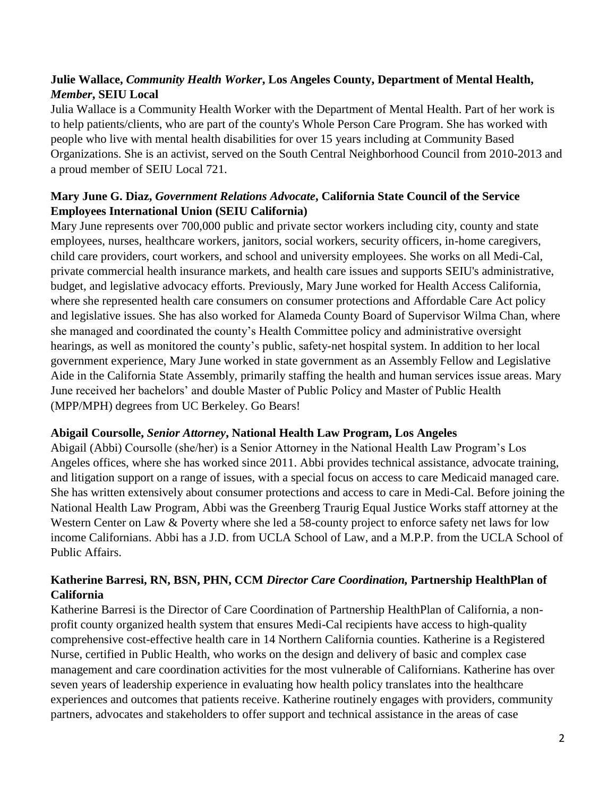## **Julie Wallace,** *Community Health Worker***, Los Angeles County, Department of Mental Health,**  *Member***, SEIU Local**

Julia Wallace is a Community Health Worker with the Department of Mental Health. Part of her work is to help patients/clients, who are part of the county's Whole Person Care Program. She has worked with people who live with mental health disabilities for over 15 years including at Community Based Organizations. She is an activist, served on the South Central Neighborhood Council from 2010-2013 and a proud member of SEIU Local 721.

## **Mary June G. Diaz,** *Government Relations Advocate***, California State Council of the Service Employees International Union (SEIU California)**

Mary June represents over 700,000 public and private sector workers including city, county and state employees, nurses, healthcare workers, janitors, social workers, security officers, in-home caregivers, child care providers, court workers, and school and university employees. She works on all Medi-Cal, private commercial health insurance markets, and health care issues and supports SEIU's administrative, budget, and legislative advocacy efforts. Previously, Mary June worked for Health Access California, where she represented health care consumers on consumer protections and Affordable Care Act policy and legislative issues. She has also worked for Alameda County Board of Supervisor Wilma Chan, where she managed and coordinated the county's Health Committee policy and administrative oversight hearings, as well as monitored the county's public, safety-net hospital system. In addition to her local government experience, Mary June worked in state government as an Assembly Fellow and Legislative Aide in the California State Assembly, primarily staffing the health and human services issue areas. Mary June received her bachelors' and double Master of Public Policy and Master of Public Health (MPP/MPH) degrees from UC Berkeley. Go Bears!

#### **Abigail Coursolle,** *Senior Attorney***, National Health Law Program, Los Angeles**

Abigail (Abbi) Coursolle (she/her) is a Senior Attorney in the National Health Law Program's Los Angeles offices, where she has worked since 2011. Abbi provides technical assistance, advocate training, and litigation support on a range of issues, with a special focus on access to care Medicaid managed care. She has written extensively about consumer protections and access to care in Medi-Cal. Before joining the National Health Law Program, Abbi was the Greenberg Traurig Equal Justice Works staff attorney at the Western Center on Law & Poverty where she led a 58-county project to enforce safety net laws for low income Californians. Abbi has a J.D. from UCLA School of Law, and a M.P.P. from the UCLA School of Public Affairs.

## **Katherine Barresi, RN, BSN, PHN, CCM** *Director Care Coordination,* **Partnership HealthPlan of California**

Katherine Barresi is the Director of Care Coordination of Partnership HealthPlan of California, a nonprofit county organized health system that ensures Medi-Cal recipients have access to high-quality comprehensive cost-effective health care in 14 Northern California counties. Katherine is a Registered Nurse, certified in Public Health, who works on the design and delivery of basic and complex case management and care coordination activities for the most vulnerable of Californians. Katherine has over seven years of leadership experience in evaluating how health policy translates into the healthcare experiences and outcomes that patients receive. Katherine routinely engages with providers, community partners, advocates and stakeholders to offer support and technical assistance in the areas of case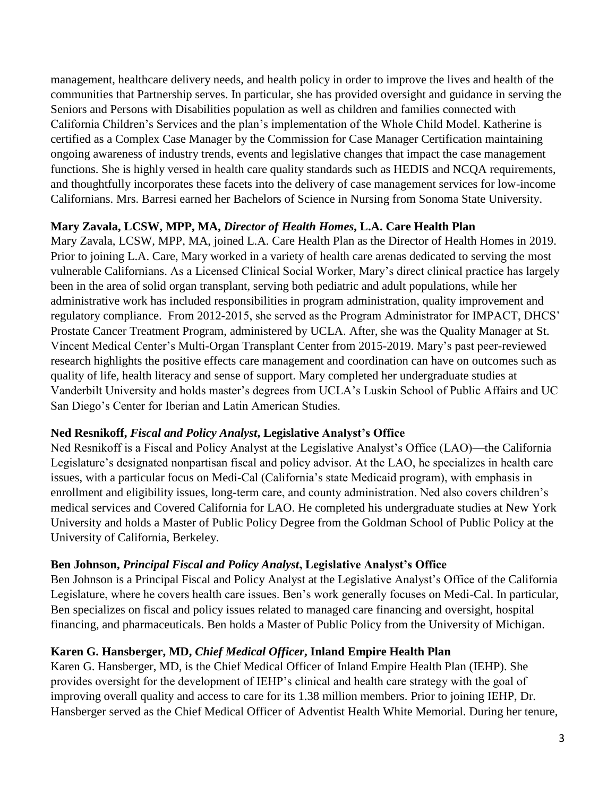management, healthcare delivery needs, and health policy in order to improve the lives and health of the communities that Partnership serves. In particular, she has provided oversight and guidance in serving the Seniors and Persons with Disabilities population as well as children and families connected with California Children's Services and the plan's implementation of the Whole Child Model. Katherine is certified as a Complex Case Manager by the Commission for Case Manager Certification maintaining ongoing awareness of industry trends, events and legislative changes that impact the case management functions. She is highly versed in health care quality standards such as HEDIS and NCQA requirements, and thoughtfully incorporates these facets into the delivery of case management services for low-income Californians. Mrs. Barresi earned her Bachelors of Science in Nursing from Sonoma State University.

## **Mary Zavala, LCSW, MPP, MA,** *Director of Health Homes***, L.A. Care Health Plan**

Mary Zavala, LCSW, MPP, MA, joined L.A. Care Health Plan as the Director of Health Homes in 2019. Prior to joining L.A. Care, Mary worked in a variety of health care arenas dedicated to serving the most vulnerable Californians. As a Licensed Clinical Social Worker, Mary's direct clinical practice has largely been in the area of solid organ transplant, serving both pediatric and adult populations, while her administrative work has included responsibilities in program administration, quality improvement and regulatory compliance. From 2012-2015, she served as the Program Administrator for IMPACT, DHCS' Prostate Cancer Treatment Program, administered by UCLA. After, she was the Quality Manager at St. Vincent Medical Center's Multi-Organ Transplant Center from 2015-2019. Mary's past peer-reviewed research highlights the positive effects care management and coordination can have on outcomes such as quality of life, health literacy and sense of support. Mary completed her undergraduate studies at Vanderbilt University and holds master's degrees from UCLA's Luskin School of Public Affairs and UC San Diego's Center for Iberian and Latin American Studies.

#### **Ned Resnikoff,** *Fiscal and Policy Analyst***, Legislative Analyst's Office**

Ned Resnikoff is a Fiscal and Policy Analyst at the Legislative Analyst's Office (LAO)—the California Legislature's designated nonpartisan fiscal and policy advisor. At the LAO, he specializes in health care issues, with a particular focus on Medi-Cal (California's state Medicaid program), with emphasis in enrollment and eligibility issues, long-term care, and county administration. Ned also covers children's medical services and Covered California for LAO. He completed his undergraduate studies at New York University and holds a Master of Public Policy Degree from the Goldman School of Public Policy at the University of California, Berkeley.

#### **Ben Johnson,** *Principal Fiscal and Policy Analyst***, Legislative Analyst's Office**

Ben Johnson is a Principal Fiscal and Policy Analyst at the Legislative Analyst's Office of the California Legislature, where he covers health care issues. Ben's work generally focuses on Medi-Cal. In particular, Ben specializes on fiscal and policy issues related to managed care financing and oversight, hospital financing, and pharmaceuticals. Ben holds a Master of Public Policy from the University of Michigan.

## **Karen G. Hansberger, MD,** *Chief Medical Officer***, Inland Empire Health Plan**

Karen G. Hansberger, MD, is the Chief Medical Officer of Inland Empire Health Plan (IEHP). She provides oversight for the development of IEHP's clinical and health care strategy with the goal of improving overall quality and access to care for its 1.38 million members. Prior to joining IEHP, Dr. Hansberger served as the Chief Medical Officer of Adventist Health White Memorial. During her tenure,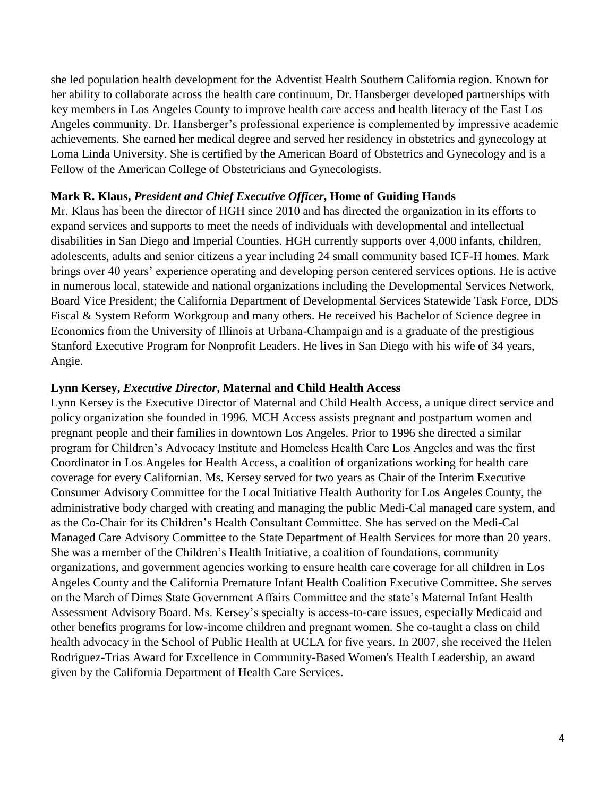she led population health development for the Adventist Health Southern California region. Known for her ability to collaborate across the health care continuum, Dr. Hansberger developed partnerships with key members in Los Angeles County to improve health care access and health literacy of the East Los Angeles community. Dr. Hansberger's professional experience is complemented by impressive academic achievements. She earned her medical degree and served her residency in obstetrics and gynecology at Loma Linda University. She is certified by the American Board of Obstetrics and Gynecology and is a Fellow of the American College of Obstetricians and Gynecologists.

#### **Mark R. Klaus,** *President and Chief Executive Officer***, Home of Guiding Hands**

Mr. Klaus has been the director of HGH since 2010 and has directed the organization in its efforts to expand services and supports to meet the needs of individuals with developmental and intellectual disabilities in San Diego and Imperial Counties. HGH currently supports over 4,000 infants, children, adolescents, adults and senior citizens a year including 24 small community based ICF-H homes. Mark brings over 40 years' experience operating and developing person centered services options. He is active in numerous local, statewide and national organizations including the Developmental Services Network, Board Vice President; the California Department of Developmental Services Statewide Task Force, DDS Fiscal & System Reform Workgroup and many others. He received his Bachelor of Science degree in Economics from the University of Illinois at Urbana-Champaign and is a graduate of the prestigious Stanford Executive Program for Nonprofit Leaders. He lives in San Diego with his wife of 34 years, Angie.

#### **Lynn Kersey,** *Executive Director***, Maternal and Child Health Access**

Lynn Kersey is the Executive Director of Maternal and Child Health Access, a unique direct service and policy organization she founded in 1996. MCH Access assists pregnant and postpartum women and pregnant people and their families in downtown Los Angeles. Prior to 1996 she directed a similar program for Children's Advocacy Institute and Homeless Health Care Los Angeles and was the first Coordinator in Los Angeles for Health Access, a coalition of organizations working for health care coverage for every Californian. Ms. Kersey served for two years as Chair of the Interim Executive Consumer Advisory Committee for the Local Initiative Health Authority for Los Angeles County, the administrative body charged with creating and managing the public Medi-Cal managed care system, and as the Co-Chair for its Children's Health Consultant Committee. She has served on the Medi-Cal Managed Care Advisory Committee to the State Department of Health Services for more than 20 years. She was a member of the Children's Health Initiative, a coalition of foundations, community organizations, and government agencies working to ensure health care coverage for all children in Los Angeles County and the California Premature Infant Health Coalition Executive Committee. She serves on the March of Dimes State Government Affairs Committee and the state's Maternal Infant Health Assessment Advisory Board. Ms. Kersey's specialty is access-to-care issues, especially Medicaid and other benefits programs for low-income children and pregnant women. She co-taught a class on child health advocacy in the School of Public Health at UCLA for five years. In 2007, she received the Helen Rodriguez-Trias Award for Excellence in Community-Based Women's Health Leadership, an award given by the California Department of Health Care Services.